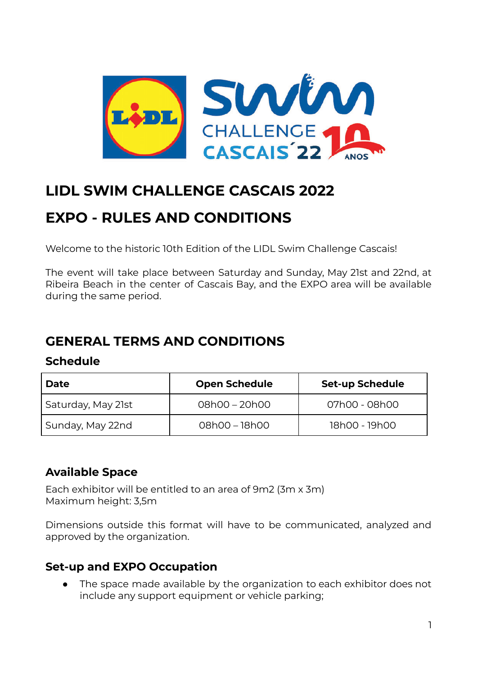

## **LIDL SWIM CHALLENGE CASCAIS 2022**

# **EXPO - RULES AND CONDITIONS**

Welcome to the historic 10th Edition of the LIDL Swim Challenge Cascais!

The event will take place between Saturday and Sunday, May 21st and 22nd, at Ribeira Beach in the center of Cascais Bay, and the EXPO area will be available during the same period.

## **GENERAL TERMS AND CONDITIONS**

#### **Schedule**

| Date               | <b>Open Schedule</b> | <b>Set-up Schedule</b> |
|--------------------|----------------------|------------------------|
| Saturday, May 21st | 08h00 - 20h00        | 07h00 - 08h00          |
| Sunday, May 22nd   | 08h00 - 18h00        | 18h00 - 19h00          |

## **Available Space**

Each exhibitor will be entitled to an area of 9m2 (3m x 3m) Maximum height: 3,5m

Dimensions outside this format will have to be communicated, analyzed and approved by the organization.

## **Set-up and EXPO Occupation**

● The space made available by the organization to each exhibitor does not include any support equipment or vehicle parking;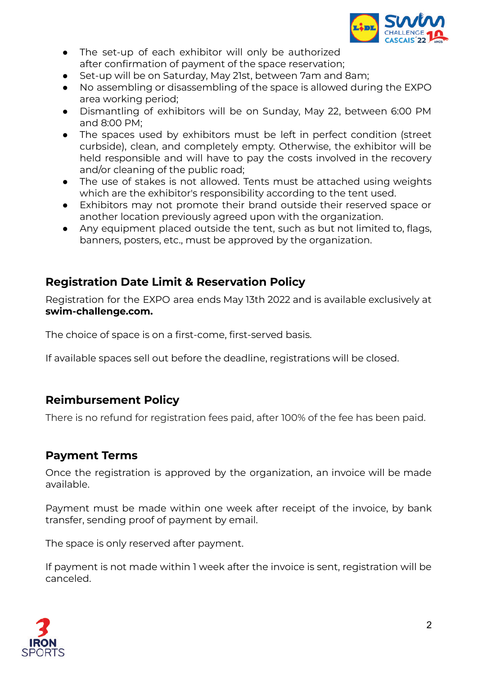

- The set-up of each exhibitor will only be authorized after confirmation of payment of the space reservation;
- Set-up will be on Saturday, May 21st, between 7am and 8am;
- No assembling or disassembling of the space is allowed during the EXPO area working period;
- Dismantling of exhibitors will be on Sunday, May 22, between 6:00 PM and 8:00 PM;
- The spaces used by exhibitors must be left in perfect condition (street curbside), clean, and completely empty. Otherwise, the exhibitor will be held responsible and will have to pay the costs involved in the recovery and/or cleaning of the public road;
- The use of stakes is not allowed. Tents must be attached using weights which are the exhibitor's responsibility according to the tent used.
- Exhibitors may not promote their brand outside their reserved space or another location previously agreed upon with the organization.
- Any equipment placed outside the tent, such as but not limited to, flags, banners, posters, etc., must be approved by the organization.

## **Registration Date Limit & Reservation Policy**

Registration for the EXPO area ends May 13th 2022 and is available exclusively at **swim-challenge.com.**

The choice of space is on a first-come, first-served basis.

If available spaces sell out before the deadline, registrations will be closed.

## **Reimbursement Policy**

There is no refund for registration fees paid, after 100% of the fee has been paid.

#### **Payment Terms**

Once the registration is approved by the organization, an invoice will be made available.

Payment must be made within one week after receipt of the invoice, by bank transfer, sending proof of payment by email.

The space is only reserved after payment.

If payment is not made within 1 week after the invoice is sent, registration will be canceled.